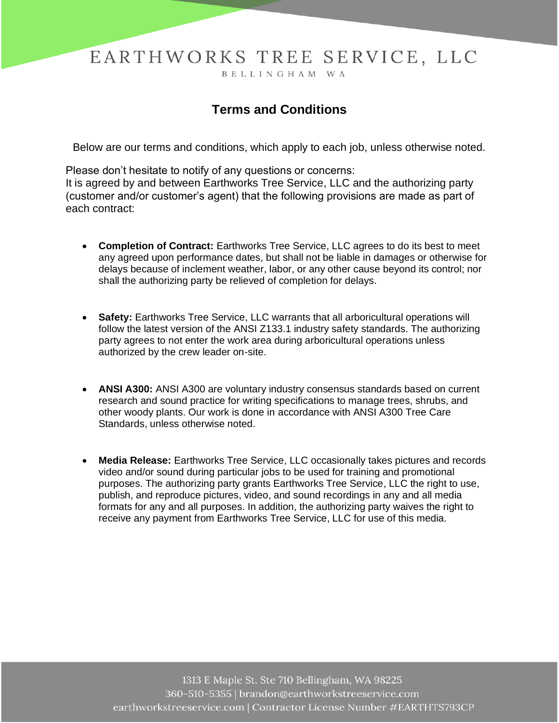## EARTHWORKS TREE SERVICE, LLC

BELLINGHAM WA

## **Terms and Conditions**

Below are our terms and conditions, which apply to each job, unless otherwise noted.

Please don't hesitate to notify of any questions or concerns: It is agreed by and between Earthworks Tree Service, LLC and the authorizing party (customer and/or customer's agent) that the following provisions are made as part of each contract:

- **Completion of Contract:** Earthworks Tree Service, LLC agrees to do its best to meet any agreed upon performance dates, but shall not be liable in damages or otherwise for delays because of inclement weather, labor, or any other cause beyond its control; nor shall the authorizing party be relieved of completion for delays.
- **Safety:** Earthworks Tree Service, LLC warrants that all arboricultural operations will follow the latest version of the ANSI Z133.1 industry safety standards. The authorizing party agrees to not enter the work area during arboricultural operations unless authorized by the crew leader on-site.
- **ANSI A300:** ANSI A300 are voluntary industry consensus standards based on current research and sound practice for writing specifications to manage trees, shrubs, and other woody plants. Our work is done in accordance with ANSI A300 Tree Care Standards, unless otherwise noted.
- **Media Release:** Earthworks Tree Service, LLC occasionally takes pictures and records video and/or sound during particular jobs to be used for training and promotional purposes. The authorizing party grants Earthworks Tree Service, LLC the right to use, publish, and reproduce pictures, video, and sound recordings in any and all media formats for any and all purposes. In addition, the authorizing party waives the right to receive any payment from Earthworks Tree Service, LLC for use of this media.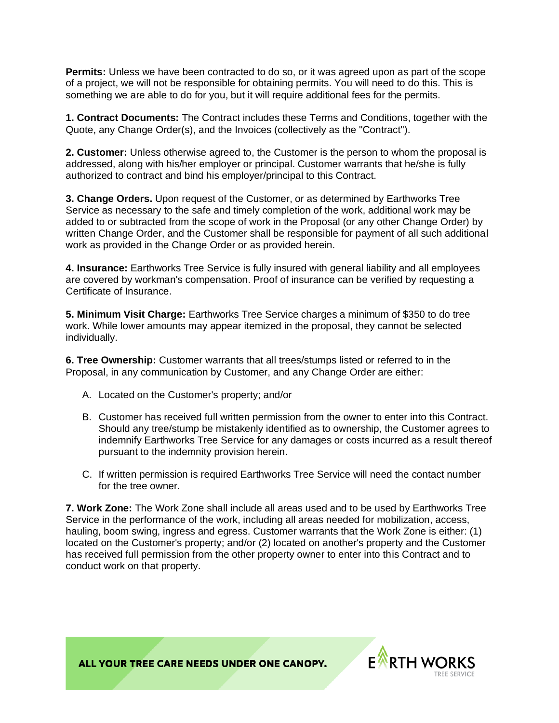**Permits:** Unless we have been contracted to do so, or it was agreed upon as part of the scope of a project, we will not be responsible for obtaining permits. You will need to do this. This is something we are able to do for you, but it will require additional fees for the permits.

**1. Contract Documents:** The Contract includes these Terms and Conditions, together with the Quote, any Change Order(s), and the Invoices (collectively as the "Contract").

**2. Customer:** Unless otherwise agreed to, the Customer is the person to whom the proposal is addressed, along with his/her employer or principal. Customer warrants that he/she is fully authorized to contract and bind his employer/principal to this Contract.

**3. Change Orders.** Upon request of the Customer, or as determined by Earthworks Tree Service as necessary to the safe and timely completion of the work, additional work may be added to or subtracted from the scope of work in the Proposal (or any other Change Order) by written Change Order, and the Customer shall be responsible for payment of all such additional work as provided in the Change Order or as provided herein.

**4. Insurance:** Earthworks Tree Service is fully insured with general liability and all employees are covered by workman's compensation. Proof of insurance can be verified by requesting a Certificate of Insurance.

**5. Minimum Visit Charge:** Earthworks Tree Service charges a minimum of \$350 to do tree work. While lower amounts may appear itemized in the proposal, they cannot be selected individually.

**6. Tree Ownership:** Customer warrants that all trees/stumps listed or referred to in the Proposal, in any communication by Customer, and any Change Order are either:

- A. Located on the Customer's property; and/or
- B. Customer has received full written permission from the owner to enter into this Contract. Should any tree/stump be mistakenly identified as to ownership, the Customer agrees to indemnify Earthworks Tree Service for any damages or costs incurred as a result thereof pursuant to the indemnity provision herein.
- C. If written permission is required Earthworks Tree Service will need the contact number for the tree owner.

**7. Work Zone:** The Work Zone shall include all areas used and to be used by Earthworks Tree Service in the performance of the work, including all areas needed for mobilization, access, hauling, boom swing, ingress and egress. Customer warrants that the Work Zone is either: (1) located on the Customer's property; and/or (2) located on another's property and the Customer has received full permission from the other property owner to enter into this Contract and to conduct work on that property.

ALL YOUR TREE CARE NEEDS UNDER ONE CANOPY.

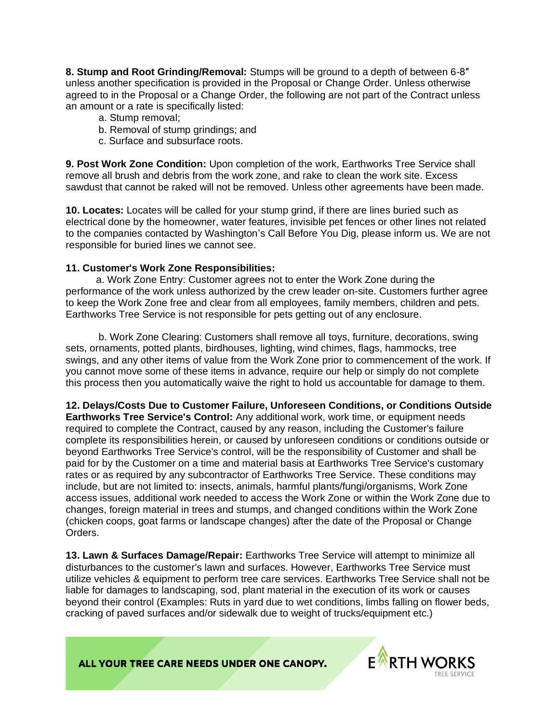**8. Stump and Root Grinding/Removal:** Stumps will be ground to a depth of between 6-8″ unless another specification is provided in the Proposal or Change Order. Unless otherwise agreed to in the Proposal or a Change Order, the following are not part of the Contract unless an amount or a rate is specifically listed:

- a. Stump removal;
- b. Removal of stump grindings; and
- c. Surface and subsurface roots.

**9. Post Work Zone Condition:** Upon completion of the work, Earthworks Tree Service shall remove all brush and debris from the work zone, and rake to clean the work site. Excess sawdust that cannot be raked will not be removed. Unless other agreements have been made.

**10. Locates:** Locates will be called for your stump grind, if there are lines buried such as electrical done by the homeowner, water features, invisible pet fences or other lines not related to the companies contacted by Washington's Call Before You Dig, please inform us. We are not responsible for buried lines we cannot see.

## **11. Customer's Work Zone Responsibilities:**

 a. Work Zone Entry: Customer agrees not to enter the Work Zone during the performance of the work unless authorized by the crew leader on-site. Customers further agree to keep the Work Zone free and clear from all employees, family members, children and pets. Earthworks Tree Service is not responsible for pets getting out of any enclosure.

b. Work Zone Clearing: Customers shall remove all toys, furniture, decorations, swing sets, ornaments, potted plants, birdhouses, lighting, wind chimes, flags, hammocks, tree swings, and any other items of value from the Work Zone prior to commencement of the work. If you cannot move some of these items in advance, require our help or simply do not complete this process then you automatically waive the right to hold us accountable for damage to them.

**12. Delays/Costs Due to Customer Failure, Unforeseen Conditions, or Conditions Outside Earthworks Tree Service's Control:** Any additional work, work time, or equipment needs required to complete the Contract, caused by any reason, including the Customer's failure complete its responsibilities herein, or caused by unforeseen conditions or conditions outside or beyond Earthworks Tree Service's control, will be the responsibility of Customer and shall be paid for by the Customer on a time and material basis at Earthworks Tree Service's customary rates or as required by any subcontractor of Earthworks Tree Service. These conditions may include, but are not limited to: insects, animals, harmful plants/fungi/organisms, Work Zone access issues, additional work needed to access the Work Zone or within the Work Zone due to changes, foreign material in trees and stumps, and changed conditions within the Work Zone (chicken coops, goat farms or landscape changes) after the date of the Proposal or Change Orders.

**13. Lawn & Surfaces Damage/Repair:** Earthworks Tree Service will attempt to minimize all disturbances to the customer's lawn and surfaces. However, Earthworks Tree Service must utilize vehicles & equipment to perform tree care services. Earthworks Tree Service shall not be liable for damages to landscaping, sod, plant material in the execution of its work or causes beyond their control (Examples: Ruts in yard due to wet conditions, limbs falling on flower beds, cracking of paved surfaces and/or sidewalk due to weight of trucks/equipment etc.)

ALL YOUR TREE CARE NEEDS UNDER ONE CANOPY.